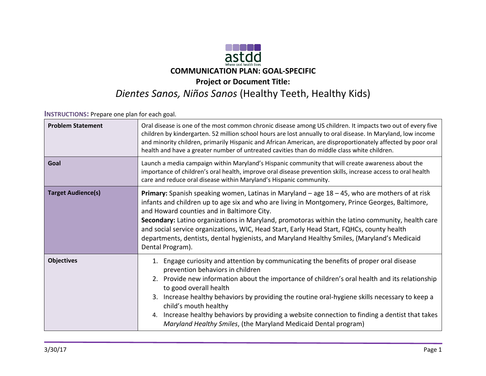

**INSTRUCTIONS:** Prepare one plan for each goal.

| <b>Problem Statement</b>  | Oral disease is one of the most common chronic disease among US children. It impacts two out of every five<br>children by kindergarten. 52 million school hours are lost annually to oral disease. In Maryland, low income<br>and minority children, primarily Hispanic and African American, are disproportionately affected by poor oral<br>health and have a greater number of untreated cavities than do middle class white children.                                                                                                                           |
|---------------------------|---------------------------------------------------------------------------------------------------------------------------------------------------------------------------------------------------------------------------------------------------------------------------------------------------------------------------------------------------------------------------------------------------------------------------------------------------------------------------------------------------------------------------------------------------------------------|
| Goal                      | Launch a media campaign within Maryland's Hispanic community that will create awareness about the<br>importance of children's oral health, improve oral disease prevention skills, increase access to oral health<br>care and reduce oral disease within Maryland's Hispanic community.                                                                                                                                                                                                                                                                             |
| <b>Target Audience(s)</b> | Primary: Spanish speaking women, Latinas in Maryland - age 18 - 45, who are mothers of at risk<br>infants and children up to age six and who are living in Montgomery, Prince Georges, Baltimore,<br>and Howard counties and in Baltimore City.<br>Secondary: Latino organizations in Maryland, promotoras within the latino community, health care<br>and social service organizations, WIC, Head Start, Early Head Start, FQHCs, county health<br>departments, dentists, dental hygienists, and Maryland Healthy Smiles, (Maryland's Medicaid<br>Dental Program). |
| <b>Objectives</b>         | Engage curiosity and attention by communicating the benefits of proper oral disease<br>prevention behaviors in children<br>2. Provide new information about the importance of children's oral health and its relationship<br>to good overall health<br>3. Increase healthy behaviors by providing the routine oral-hygiene skills necessary to keep a<br>child's mouth healthy<br>4. Increase healthy behaviors by providing a website connection to finding a dentist that takes<br>Maryland Healthy Smiles, (the Maryland Medicaid Dental program)                |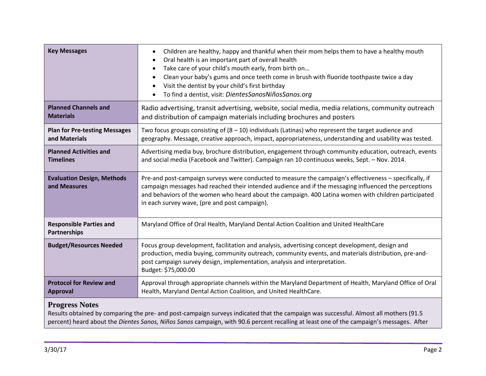| <b>Key Messages</b>                                   | Children are healthy, happy and thankful when their mom helps them to have a healthy mouth<br>$\bullet$<br>Oral health is an important part of overall health<br>$\bullet$<br>Take care of your child's mouth early, from birth on<br>$\bullet$<br>Clean your baby's gums and once teeth come in brush with fluoride toothpaste twice a day<br>$\bullet$<br>Visit the dentist by your child's first birthday<br>$\bullet$<br>To find a dentist, visit: DientesSanosNiñosSanos.org<br>$\bullet$ |
|-------------------------------------------------------|------------------------------------------------------------------------------------------------------------------------------------------------------------------------------------------------------------------------------------------------------------------------------------------------------------------------------------------------------------------------------------------------------------------------------------------------------------------------------------------------|
| <b>Planned Channels and</b><br><b>Materials</b>       | Radio advertising, transit advertising, website, social media, media relations, community outreach<br>and distribution of campaign materials including brochures and posters                                                                                                                                                                                                                                                                                                                   |
| <b>Plan for Pre-testing Messages</b><br>and Materials | Two focus groups consisting of $(8 - 10)$ individuals (Latinas) who represent the target audience and<br>geography. Message, creative approach, impact, appropriateness, understanding and usability was tested.                                                                                                                                                                                                                                                                               |
| <b>Planned Activities and</b><br><b>Timelines</b>     | Advertising media buy, brochure distribution, engagement through community education, outreach, events<br>and social media (Facebook and Twitter). Campaign ran 10 continuous weeks, Sept. - Nov. 2014.                                                                                                                                                                                                                                                                                        |
| <b>Evaluation Design, Methods</b><br>and Measures     | Pre-and post-campaign surveys were conducted to measure the campaign's effectiveness - specifically, if<br>campaign messages had reached their intended audience and if the messaging influenced the perceptions<br>and behaviors of the women who heard about the campaign. 400 Latina women with children participated<br>in each survey wave, (pre and post campaign).                                                                                                                      |
| <b>Responsible Parties and</b><br>Partnerships        | Maryland Office of Oral Health, Maryland Dental Action Coalition and United HealthCare                                                                                                                                                                                                                                                                                                                                                                                                         |
| <b>Budget/Resources Needed</b>                        | Focus group development, facilitation and analysis, advertising concept development, design and<br>production, media buying, community outreach, community events, and materials distribution, pre-and-<br>post campaign survey design, implementation, analysis and interpretation.<br>Budget: \$75,000.00                                                                                                                                                                                    |
| <b>Protocol for Review and</b><br><b>Approval</b>     | Approval through appropriate channels within the Maryland Department of Health, Maryland Office of Oral<br>Health, Maryland Dental Action Coalition, and United HealthCare.                                                                                                                                                                                                                                                                                                                    |
| <b>Progress Notes</b>                                 |                                                                                                                                                                                                                                                                                                                                                                                                                                                                                                |

Results obtained by comparing the pre- and post-campaign surveys indicated that the campaign was successful. Almost all mothers (91.5 percent) heard about the *Dientes Sanos, Niños Sanos* campaign, with 90.6 percent recalling at least one of the campaign's messages. After